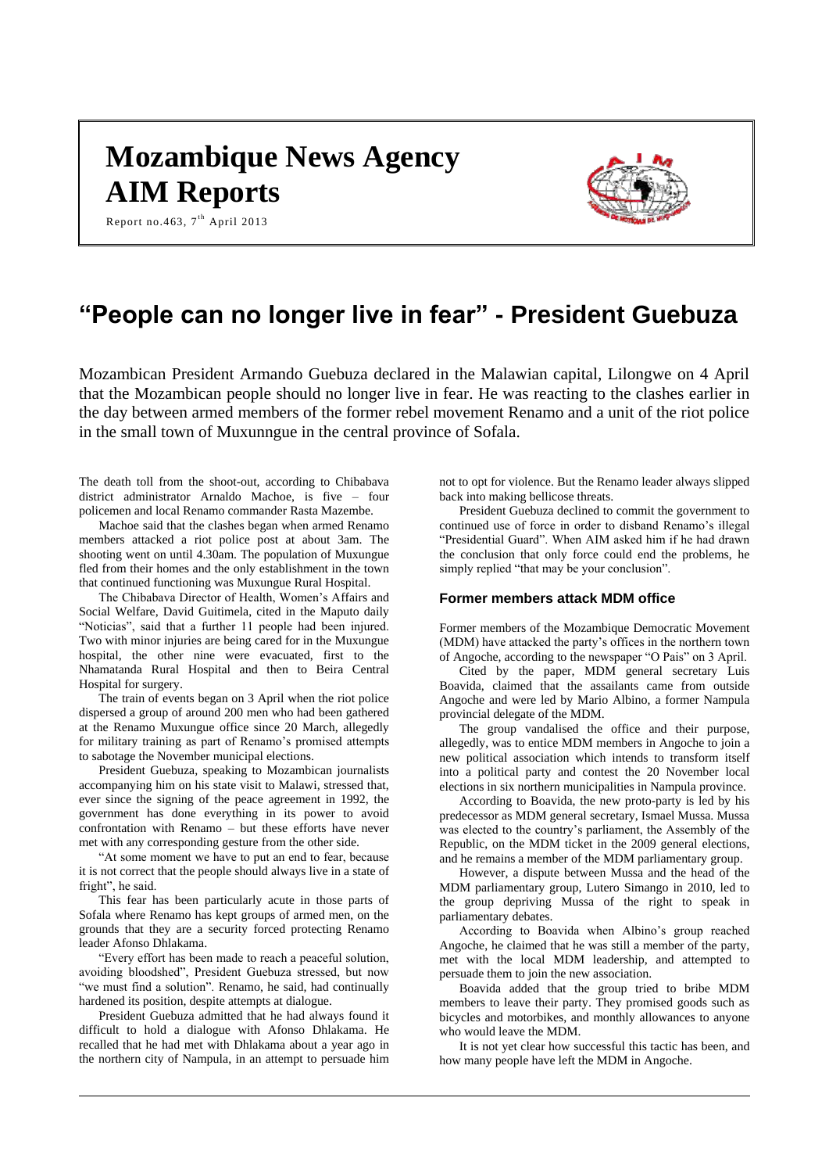# **Mozambique News Agency AIM Reports**



Report no.463,  $7^{\text{th}}$  April 2013

## **"People can no longer live in fear" - President Guebuza**

Mozambican President Armando Guebuza declared in the Malawian capital, Lilongwe on 4 April that the Mozambican people should no longer live in fear. He was reacting to the clashes earlier in the day between armed members of the former rebel movement Renamo and a unit of the riot police in the small town of Muxunngue in the central province of Sofala.

The death toll from the shoot-out, according to Chibabava district administrator Arnaldo Machoe, is five – four policemen and local Renamo commander Rasta Mazembe.

Machoe said that the clashes began when armed Renamo members attacked a riot police post at about 3am. The shooting went on until 4.30am. The population of Muxungue fled from their homes and the only establishment in the town that continued functioning was Muxungue Rural Hospital.

The Chibabava Director of Health, Women's Affairs and Social Welfare, David Guitimela, cited in the Maputo daily "Noticias", said that a further 11 people had been injured. Two with minor injuries are being cared for in the Muxungue hospital, the other nine were evacuated, first to the Nhamatanda Rural Hospital and then to Beira Central Hospital for surgery.

The train of events began on 3 April when the riot police dispersed a group of around 200 men who had been gathered at the Renamo Muxungue office since 20 March, allegedly for military training as part of Renamo's promised attempts to sabotage the November municipal elections.

President Guebuza, speaking to Mozambican journalists accompanying him on his state visit to Malawi, stressed that, ever since the signing of the peace agreement in 1992, the government has done everything in its power to avoid confrontation with Renamo – but these efforts have never met with any corresponding gesture from the other side.

"At some moment we have to put an end to fear, because it is not correct that the people should always live in a state of fright", he said.

This fear has been particularly acute in those parts of Sofala where Renamo has kept groups of armed men, on the grounds that they are a security forced protecting Renamo leader Afonso Dhlakama.

"Every effort has been made to reach a peaceful solution, avoiding bloodshed", President Guebuza stressed, but now "we must find a solution". Renamo, he said, had continually hardened its position, despite attempts at dialogue.

President Guebuza admitted that he had always found it difficult to hold a dialogue with Afonso Dhlakama. He recalled that he had met with Dhlakama about a year ago in the northern city of Nampula, in an attempt to persuade him

not to opt for violence. But the Renamo leader always slipped back into making bellicose threats.

President Guebuza declined to commit the government to continued use of force in order to disband Renamo's illegal "Presidential Guard". When AIM asked him if he had drawn the conclusion that only force could end the problems, he simply replied "that may be your conclusion".

## **Former members attack MDM office**

Former members of the Mozambique Democratic Movement (MDM) have attacked the party's offices in the northern town of Angoche, according to the newspaper "O Pais" on 3 April.

Cited by the paper, MDM general secretary Luis Boavida, claimed that the assailants came from outside Angoche and were led by Mario Albino, a former Nampula provincial delegate of the MDM.

The group vandalised the office and their purpose, allegedly, was to entice MDM members in Angoche to join a new political association which intends to transform itself into a political party and contest the 20 November local elections in six northern municipalities in Nampula province.

According to Boavida, the new proto-party is led by his predecessor as MDM general secretary, Ismael Mussa. Mussa was elected to the country's parliament, the Assembly of the Republic, on the MDM ticket in the 2009 general elections, and he remains a member of the MDM parliamentary group.

However, a dispute between Mussa and the head of the MDM parliamentary group, Lutero Simango in 2010, led to the group depriving Mussa of the right to speak in parliamentary debates.

According to Boavida when Albino's group reached Angoche, he claimed that he was still a member of the party, met with the local MDM leadership, and attempted to persuade them to join the new association.

Boavida added that the group tried to bribe MDM members to leave their party. They promised goods such as bicycles and motorbikes, and monthly allowances to anyone who would leave the MDM.

It is not yet clear how successful this tactic has been, and how many people have left the MDM in Angoche.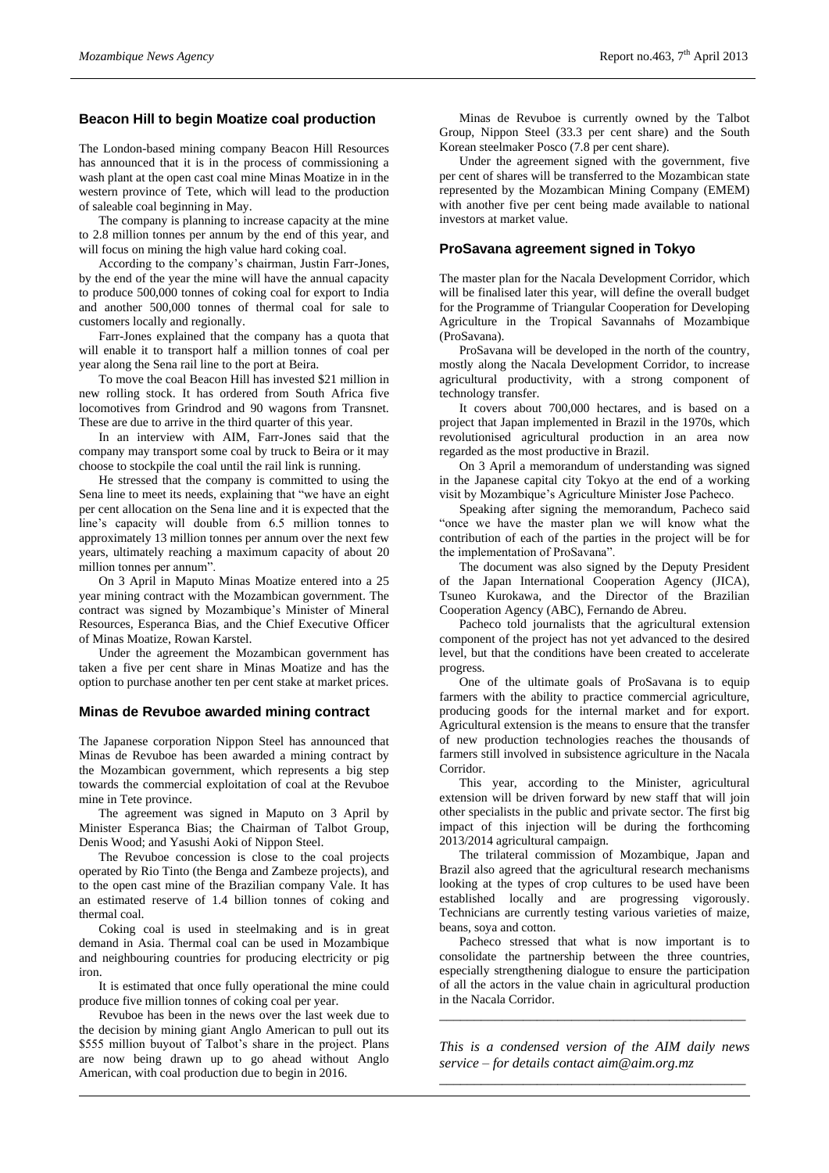## **Beacon Hill to begin Moatize coal production**

The London-based mining company Beacon Hill Resources has announced that it is in the process of commissioning a wash plant at the open cast coal mine Minas Moatize in in the western province of Tete, which will lead to the production of saleable coal beginning in May.

The company is planning to increase capacity at the mine to 2.8 million tonnes per annum by the end of this year, and will focus on mining the high value hard coking coal.

According to the company's chairman, Justin Farr-Jones, by the end of the year the mine will have the annual capacity to produce 500,000 tonnes of coking coal for export to India and another 500,000 tonnes of thermal coal for sale to customers locally and regionally.

Farr-Jones explained that the company has a quota that will enable it to transport half a million tonnes of coal per year along the Sena rail line to the port at Beira.

To move the coal Beacon Hill has invested \$21 million in new rolling stock. It has ordered from South Africa five locomotives from Grindrod and 90 wagons from Transnet. These are due to arrive in the third quarter of this year.

In an interview with AIM, Farr-Jones said that the company may transport some coal by truck to Beira or it may choose to stockpile the coal until the rail link is running.

He stressed that the company is committed to using the Sena line to meet its needs, explaining that "we have an eight per cent allocation on the Sena line and it is expected that the line's capacity will double from 6.5 million tonnes to approximately 13 million tonnes per annum over the next few years, ultimately reaching a maximum capacity of about 20 million tonnes per annum".

On 3 April in Maputo Minas Moatize entered into a 25 year mining contract with the Mozambican government. The contract was signed by Mozambique's Minister of Mineral Resources, Esperanca Bias, and the Chief Executive Officer of Minas Moatize, Rowan Karstel.

Under the agreement the Mozambican government has taken a five per cent share in Minas Moatize and has the option to purchase another ten per cent stake at market prices.

## **Minas de Revuboe awarded mining contract**

The Japanese corporation Nippon Steel has announced that Minas de Revuboe has been awarded a mining contract by the Mozambican government, which represents a big step towards the commercial exploitation of coal at the Revuboe mine in Tete province.

The agreement was signed in Maputo on 3 April by Minister Esperanca Bias; the Chairman of Talbot Group, Denis Wood; and Yasushi Aoki of Nippon Steel.

The Revuboe concession is close to the coal projects operated by Rio Tinto (the Benga and Zambeze projects), and to the open cast mine of the Brazilian company Vale. It has an estimated reserve of 1.4 billion tonnes of coking and thermal coal.

Coking coal is used in steelmaking and is in great demand in Asia. Thermal coal can be used in Mozambique and neighbouring countries for producing electricity or pig iron.

It is estimated that once fully operational the mine could produce five million tonnes of coking coal per year.

Revuboe has been in the news over the last week due to the decision by mining giant Anglo American to pull out its \$555 million buyout of Talbot's share in the project. Plans are now being drawn up to go ahead without Anglo American, with coal production due to begin in 2016.

Minas de Revuboe is currently owned by the Talbot Group, Nippon Steel (33.3 per cent share) and the South Korean steelmaker Posco (7.8 per cent share).

Under the agreement signed with the government, five per cent of shares will be transferred to the Mozambican state represented by the Mozambican Mining Company (EMEM) with another five per cent being made available to national investors at market value.

## **ProSavana agreement signed in Tokyo**

The master plan for the Nacala Development Corridor, which will be finalised later this year, will define the overall budget for the Programme of Triangular Cooperation for Developing Agriculture in the Tropical Savannahs of Mozambique (ProSavana).

ProSavana will be developed in the north of the country, mostly along the Nacala Development Corridor, to increase agricultural productivity, with a strong component of technology transfer.

It covers about 700,000 hectares, and is based on a project that Japan implemented in Brazil in the 1970s, which revolutionised agricultural production in an area now regarded as the most productive in Brazil.

On 3 April a memorandum of understanding was signed in the Japanese capital city Tokyo at the end of a working visit by Mozambique's Agriculture Minister Jose Pacheco.

Speaking after signing the memorandum, Pacheco said "once we have the master plan we will know what the contribution of each of the parties in the project will be for the implementation of ProSavana".

The document was also signed by the Deputy President of the Japan International Cooperation Agency (JICA), Tsuneo Kurokawa, and the Director of the Brazilian Cooperation Agency (ABC), Fernando de Abreu.

Pacheco told journalists that the agricultural extension component of the project has not yet advanced to the desired level, but that the conditions have been created to accelerate progress.

One of the ultimate goals of ProSavana is to equip farmers with the ability to practice commercial agriculture, producing goods for the internal market and for export. Agricultural extension is the means to ensure that the transfer of new production technologies reaches the thousands of farmers still involved in subsistence agriculture in the Nacala Corridor.

This year, according to the Minister, agricultural extension will be driven forward by new staff that will join other specialists in the public and private sector. The first big impact of this injection will be during the forthcoming 2013/2014 agricultural campaign.

The trilateral commission of Mozambique, Japan and Brazil also agreed that the agricultural research mechanisms looking at the types of crop cultures to be used have been established locally and are progressing vigorously. Technicians are currently testing various varieties of maize, beans, soya and cotton.

Pacheco stressed that what is now important is to consolidate the partnership between the three countries, especially strengthening dialogue to ensure the participation of all the actors in the value chain in agricultural production in the Nacala Corridor.

*This is a condensed version of the AIM daily news service – for details contact [aim@aim.org.mz](mailto:aim@aim.org.mz) \_\_\_\_\_\_\_\_\_\_\_\_\_\_\_\_\_\_\_\_\_\_\_\_\_\_\_\_\_\_\_\_\_\_\_\_\_\_\_\_\_\_\_\_*

*\_\_\_\_\_\_\_\_\_\_\_\_\_\_\_\_\_\_\_\_\_\_\_\_\_\_\_\_\_\_\_\_\_\_\_\_\_\_\_\_\_\_\_\_*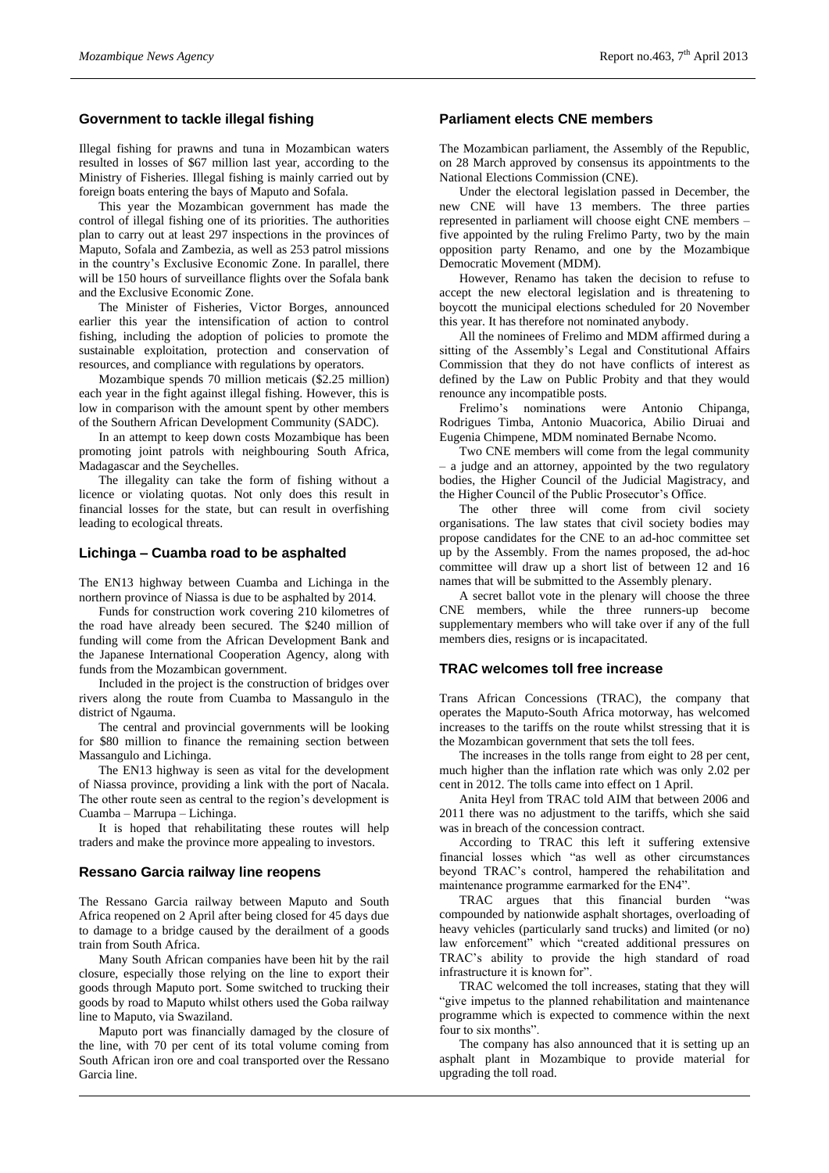## **Government to tackle illegal fishing**

Illegal fishing for prawns and tuna in Mozambican waters resulted in losses of \$67 million last year, according to the Ministry of Fisheries. Illegal fishing is mainly carried out by foreign boats entering the bays of Maputo and Sofala.

This year the Mozambican government has made the control of illegal fishing one of its priorities. The authorities plan to carry out at least 297 inspections in the provinces of Maputo, Sofala and Zambezia, as well as 253 patrol missions in the country's Exclusive Economic Zone. In parallel, there will be 150 hours of surveillance flights over the Sofala bank and the Exclusive Economic Zone.

The Minister of Fisheries, Victor Borges, announced earlier this year the intensification of action to control fishing, including the adoption of policies to promote the sustainable exploitation, protection and conservation of resources, and compliance with regulations by operators.

Mozambique spends 70 million meticais (\$2.25 million) each year in the fight against illegal fishing. However, this is low in comparison with the amount spent by other members of the Southern African Development Community (SADC).

In an attempt to keep down costs Mozambique has been promoting joint patrols with neighbouring South Africa, Madagascar and the Seychelles.

The illegality can take the form of fishing without a licence or violating quotas. Not only does this result in financial losses for the state, but can result in overfishing leading to ecological threats.

#### **Lichinga – Cuamba road to be asphalted**

The EN13 highway between Cuamba and Lichinga in the northern province of Niassa is due to be asphalted by 2014.

Funds for construction work covering 210 kilometres of the road have already been secured. The \$240 million of funding will come from the African Development Bank and the Japanese International Cooperation Agency, along with funds from the Mozambican government.

Included in the project is the construction of bridges over rivers along the route from Cuamba to Massangulo in the district of Ngauma.

The central and provincial governments will be looking for \$80 million to finance the remaining section between Massangulo and Lichinga.

The EN13 highway is seen as vital for the development of Niassa province, providing a link with the port of Nacala. The other route seen as central to the region's development is Cuamba – Marrupa – Lichinga.

It is hoped that rehabilitating these routes will help traders and make the province more appealing to investors.

#### **Ressano Garcia railway line reopens**

The Ressano Garcia railway between Maputo and South Africa reopened on 2 April after being closed for 45 days due to damage to a bridge caused by the derailment of a goods train from South Africa.

Many South African companies have been hit by the rail closure, especially those relying on the line to export their goods through Maputo port. Some switched to trucking their goods by road to Maputo whilst others used the Goba railway line to Maputo, via Swaziland.

Maputo port was financially damaged by the closure of the line, with 70 per cent of its total volume coming from South African iron ore and coal transported over the Ressano Garcia line.

## **Parliament elects CNE members**

The Mozambican parliament, the Assembly of the Republic, on 28 March approved by consensus its appointments to the National Elections Commission (CNE).

Under the electoral legislation passed in December, the new CNE will have 13 members. The three parties represented in parliament will choose eight CNE members – five appointed by the ruling Frelimo Party, two by the main opposition party Renamo, and one by the Mozambique Democratic Movement (MDM).

However, Renamo has taken the decision to refuse to accept the new electoral legislation and is threatening to boycott the municipal elections scheduled for 20 November this year. It has therefore not nominated anybody.

All the nominees of Frelimo and MDM affirmed during a sitting of the Assembly's Legal and Constitutional Affairs Commission that they do not have conflicts of interest as defined by the Law on Public Probity and that they would renounce any incompatible posts.

Frelimo's nominations were Antonio Chipanga, Rodrigues Timba, Antonio Muacorica, Abilio Diruai and Eugenia Chimpene, MDM nominated Bernabe Ncomo.

Two CNE members will come from the legal community – a judge and an attorney, appointed by the two regulatory bodies, the Higher Council of the Judicial Magistracy, and the Higher Council of the Public Prosecutor's Office.

The other three will come from civil society organisations. The law states that civil society bodies may propose candidates for the CNE to an ad-hoc committee set up by the Assembly. From the names proposed, the ad-hoc committee will draw up a short list of between 12 and 16 names that will be submitted to the Assembly plenary.

A secret ballot vote in the plenary will choose the three CNE members, while the three runners-up become supplementary members who will take over if any of the full members dies, resigns or is incapacitated.

## **TRAC welcomes toll free increase**

Trans African Concessions (TRAC), the company that operates the Maputo-South Africa motorway, has welcomed increases to the tariffs on the route whilst stressing that it is the Mozambican government that sets the toll fees.

The increases in the tolls range from eight to 28 per cent, much higher than the inflation rate which was only 2.02 per cent in 2012. The tolls came into effect on 1 April.

Anita Heyl from TRAC told AIM that between 2006 and 2011 there was no adjustment to the tariffs, which she said was in breach of the concession contract.

According to TRAC this left it suffering extensive financial losses which "as well as other circumstances beyond TRAC's control, hampered the rehabilitation and maintenance programme earmarked for the EN4".

TRAC argues that this financial burden "was compounded by nationwide asphalt shortages, overloading of heavy vehicles (particularly sand trucks) and limited (or no) law enforcement" which "created additional pressures on TRAC's ability to provide the high standard of road infrastructure it is known for".

TRAC welcomed the toll increases, stating that they will "give impetus to the planned rehabilitation and maintenance programme which is expected to commence within the next four to six months".

The company has also announced that it is setting up an asphalt plant in Mozambique to provide material for upgrading the toll road.